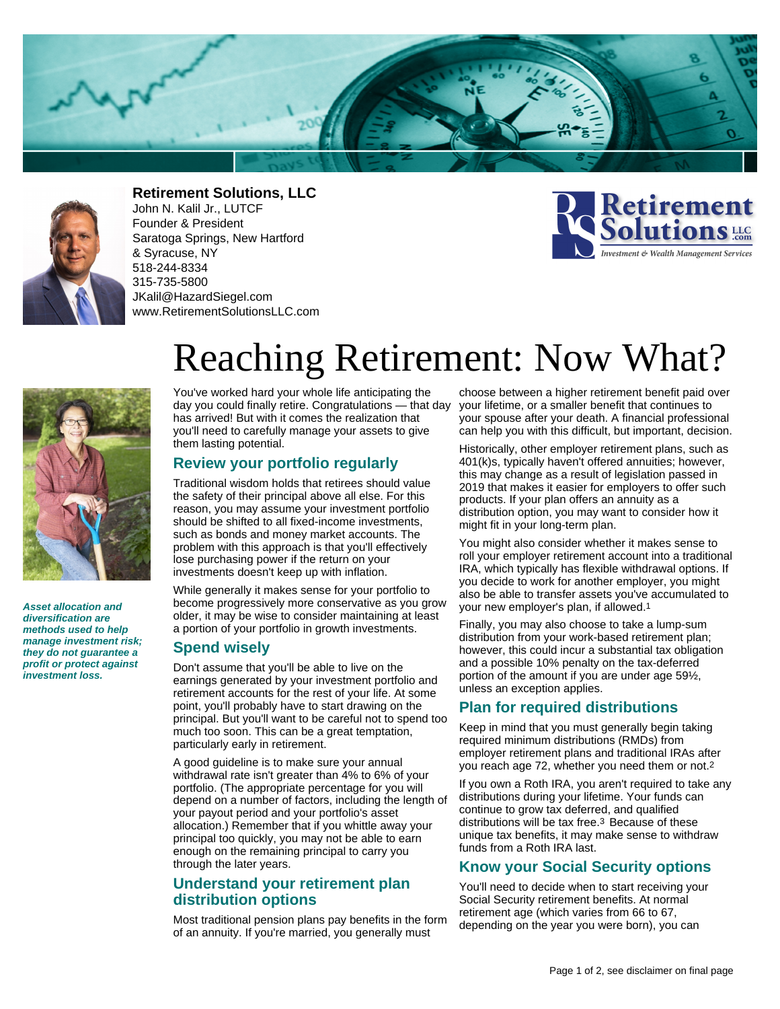



**Retirement Solutions, LLC**

John N. Kalil Jr., LUTCF Founder & President Saratoga Springs, New Hartford & Syracuse, NY 518-244-8334 315-735-5800 JKalil@HazardSiegel.com www.RetirementSolutionsLLC.com





**Asset allocation and diversification are methods used to help manage investment risk; they do not guarantee a profit or protect against investment loss.**

# Reaching Retirement: Now What?

You've worked hard your whole life anticipating the day you could finally retire. Congratulations — that day has arrived! But with it comes the realization that you'll need to carefully manage your assets to give them lasting potential.

#### **Review your portfolio regularly**

Traditional wisdom holds that retirees should value the safety of their principal above all else. For this reason, you may assume your investment portfolio should be shifted to all fixed-income investments, such as bonds and money market accounts. The problem with this approach is that you'll effectively lose purchasing power if the return on your investments doesn't keep up with inflation.

While generally it makes sense for your portfolio to become progressively more conservative as you grow older, it may be wise to consider maintaining at least a portion of your portfolio in growth investments.

#### **Spend wisely**

Don't assume that you'll be able to live on the earnings generated by your investment portfolio and retirement accounts for the rest of your life. At some point, you'll probably have to start drawing on the principal. But you'll want to be careful not to spend too much too soon. This can be a great temptation, particularly early in retirement.

A good guideline is to make sure your annual withdrawal rate isn't greater than 4% to 6% of your portfolio. (The appropriate percentage for you will depend on a number of factors, including the length of your payout period and your portfolio's asset allocation.) Remember that if you whittle away your principal too quickly, you may not be able to earn enough on the remaining principal to carry you through the later years.

### **Understand your retirement plan distribution options**

Most traditional pension plans pay benefits in the form of an annuity. If you're married, you generally must

choose between a higher retirement benefit paid over your lifetime, or a smaller benefit that continues to your spouse after your death. A financial professional can help you with this difficult, but important, decision.

Historically, other employer retirement plans, such as 401(k)s, typically haven't offered annuities; however, this may change as a result of legislation passed in 2019 that makes it easier for employers to offer such products. If your plan offers an annuity as a distribution option, you may want to consider how it might fit in your long-term plan.

You might also consider whether it makes sense to roll your employer retirement account into a traditional IRA, which typically has flexible withdrawal options. If you decide to work for another employer, you might also be able to transfer assets you've accumulated to your new employer's plan, if allowed.1

Finally, you may also choose to take a lump-sum distribution from your work-based retirement plan; however, this could incur a substantial tax obligation and a possible 10% penalty on the tax-deferred portion of the amount if you are under age 59½, unless an exception applies.

#### **Plan for required distributions**

Keep in mind that you must generally begin taking required minimum distributions (RMDs) from employer retirement plans and traditional IRAs after you reach age 72, whether you need them or not.2

If you own a Roth IRA, you aren't required to take any distributions during your lifetime. Your funds can continue to grow tax deferred, and qualified distributions will be tax free.3 Because of these unique tax benefits, it may make sense to withdraw funds from a Roth IRA last.

### **Know your Social Security options**

You'll need to decide when to start receiving your Social Security retirement benefits. At normal retirement age (which varies from 66 to 67, depending on the year you were born), you can